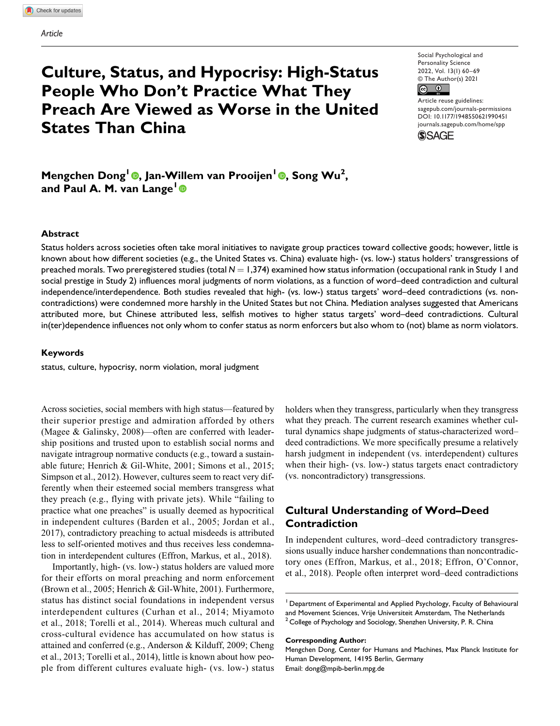# **Culture, Status, and Hypocrisy: High-Status People Who Don't Practice What They Preach Are Viewed as Worse in the United States Than China**

Social Psychological and Personality Science 2022, Vol. 13(1) 60–69 © The Author(s) 2021



Article reuse guidelines: sagepub.com/journals-permissions DOI: 10.1177/1948550621990451 [journals.sagepub.com/home/](http://journals.sagepub.com/home/jbx)spp



**Mengchen Dong1 , Jan-Willem van Prooijen<sup>1</sup> , Song Wu<sup>2</sup> , and Paul A. M. van Lange<sup>1</sup>**

#### **Abstract**

Status holders across societies often take moral initiatives to navigate group practices toward collective goods; however, little is known about how different societies (e.g., the United States vs. China) evaluate high- (vs. low-) status holders' transgressions of preached morals. Two preregistered studies (total  $N = 1,374$ ) examined how status information (occupational rank in Study 1 and social prestige in Study 2) influences moral judgments of norm violations, as a function of word–deed contradiction and cultural independence/interdependence. Both studies revealed that high- (vs. low-) status targets' word–deed contradictions (vs. noncontradictions) were condemned more harshly in the United States but not China. Mediation analyses suggested that Americans attributed more, but Chinese attributed less, selfish motives to higher status targets' word–deed contradictions. Cultural in(ter)dependence influences not only whom to confer status as norm enforcers but also whom to (not) blame as norm violators.

#### **Keywords**

status, culture, hypocrisy, norm violation, moral judgment

Across societies, social members with high status—featured by their superior prestige and admiration afforded by others (Magee & Galinsky, 2008)—often are conferred with leadership positions and trusted upon to establish social norms and navigate intragroup normative conducts (e.g., toward a sustainable future; Henrich & Gil-White, 2001; Simons et al., 2015; Simpson et al., 2012). However, cultures seem to react very differently when their esteemed social members transgress what they preach (e.g., flying with private jets). While "failing to practice what one preaches" is usually deemed as hypocritical in independent cultures (Barden et al., 2005; Jordan et al., 2017), contradictory preaching to actual misdeeds is attributed less to self-oriented motives and thus receives less condemnation in interdependent cultures (Effron, Markus, et al., 2018).

Importantly, high- (vs. low-) status holders are valued more for their efforts on moral preaching and norm enforcement (Brown et al., 2005; Henrich & Gil-White, 2001). Furthermore, status has distinct social foundations in independent versus interdependent cultures (Curhan et al., 2014; Miyamoto et al., 2018; Torelli et al., 2014). Whereas much cultural and cross-cultural evidence has accumulated on how status is attained and conferred (e.g., Anderson & Kilduff, 2009; Cheng et al., 2013; Torelli et al., 2014), little is known about how people from different cultures evaluate high- (vs. low-) status

holders when they transgress, particularly when they transgress what they preach. The current research examines whether cultural dynamics shape judgments of status-characterized word– deed contradictions. We more specifically presume a relatively harsh judgment in independent (vs. interdependent) cultures when their high- (vs. low-) status targets enact contradictory (vs. noncontradictory) transgressions.

# **Cultural Understanding of Word–Deed Contradiction**

In independent cultures, word–deed contradictory transgressions usually induce harsher condemnations than noncontradictory ones (Effron, Markus, et al., 2018; Effron, O'Connor, et al., 2018). People often interpret word–deed contradictions

#### **Corresponding Author:**

<sup>&</sup>lt;sup>1</sup> Department of Experimental and Applied Psychology, Faculty of Behavioural and Movement Sciences, Vrije Universiteit Amsterdam, The Netherlands <sup>2</sup> College of Psychology and Sociology, Shenzhen University, P. R. China

Mengchen Dong, Center for Humans and Machines, Max Planck Institute for Human Development, 14195 Berlin, Germany Email: dong@mpib-berlin.mpg.de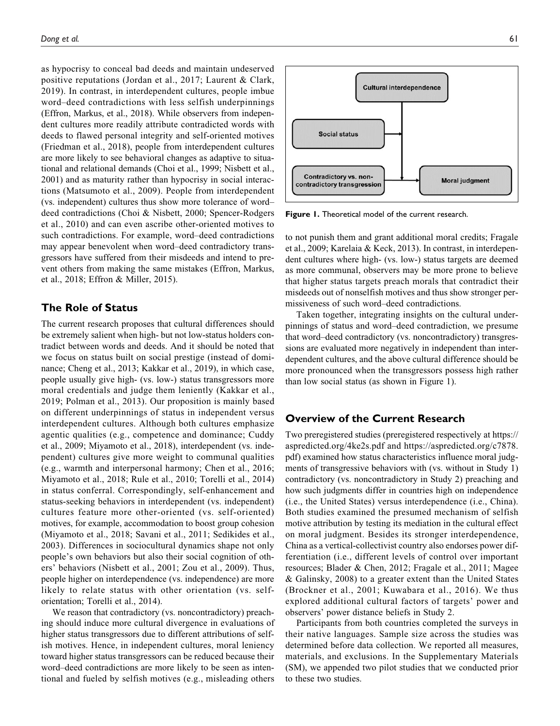as hypocrisy to conceal bad deeds and maintain undeserved positive reputations (Jordan et al., 2017; Laurent & Clark, 2019). In contrast, in interdependent cultures, people imbue word–deed contradictions with less selfish underpinnings (Effron, Markus, et al., 2018). While observers from independent cultures more readily attribute contradicted words with deeds to flawed personal integrity and self-oriented motives (Friedman et al., 2018), people from interdependent cultures are more likely to see behavioral changes as adaptive to situational and relational demands (Choi et al., 1999; Nisbett et al., 2001) and as maturity rather than hypocrisy in social interactions (Matsumoto et al., 2009). People from interdependent (vs. independent) cultures thus show more tolerance of word– deed contradictions (Choi & Nisbett, 2000; Spencer-Rodgers et al., 2010) and can even ascribe other-oriented motives to such contradictions. For example, word–deed contradictions may appear benevolent when word–deed contradictory transgressors have suffered from their misdeeds and intend to prevent others from making the same mistakes (Effron, Markus, et al., 2018; Effron & Miller, 2015).

# **The Role of Status**

The current research proposes that cultural differences should be extremely salient when high- but not low-status holders contradict between words and deeds. And it should be noted that we focus on status built on social prestige (instead of dominance; Cheng et al., 2013; Kakkar et al., 2019), in which case, people usually give high- (vs. low-) status transgressors more moral credentials and judge them leniently (Kakkar et al., 2019; Polman et al., 2013). Our proposition is mainly based on different underpinnings of status in independent versus interdependent cultures. Although both cultures emphasize agentic qualities (e.g., competence and dominance; Cuddy et al., 2009; Miyamoto et al., 2018), interdependent (vs. independent) cultures give more weight to communal qualities (e.g., warmth and interpersonal harmony; Chen et al., 2016; Miyamoto et al., 2018; Rule et al., 2010; Torelli et al., 2014) in status conferral. Correspondingly, self-enhancement and status-seeking behaviors in interdependent (vs. independent) cultures feature more other-oriented (vs. self-oriented) motives, for example, accommodation to boost group cohesion (Miyamoto et al., 2018; Savani et al., 2011; Sedikides et al., 2003). Differences in sociocultural dynamics shape not only people's own behaviors but also their social cognition of others' behaviors (Nisbett et al., 2001; Zou et al., 2009). Thus, people higher on interdependence (vs. independence) are more likely to relate status with other orientation (vs. selforientation; Torelli et al., 2014).

We reason that contradictory (vs. noncontradictory) preaching should induce more cultural divergence in evaluations of higher status transgressors due to different attributions of selfish motives. Hence, in independent cultures, moral leniency toward higher status transgressors can be reduced because their word–deed contradictions are more likely to be seen as intentional and fueled by selfish motives (e.g., misleading others



**Figure 1.** Theoretical model of the current research.

to not punish them and grant additional moral credits; Fragale et al., 2009; Karelaia & Keck, 2013). In contrast, in interdependent cultures where high- (vs. low-) status targets are deemed as more communal, observers may be more prone to believe that higher status targets preach morals that contradict their misdeeds out of nonselfish motives and thus show stronger permissiveness of such word–deed contradictions.

Taken together, integrating insights on the cultural underpinnings of status and word–deed contradiction, we presume that word–deed contradictory (vs. noncontradictory) transgressions are evaluated more negatively in independent than interdependent cultures, and the above cultural difference should be more pronounced when the transgressors possess high rather than low social status (as shown in Figure 1).

## **Overview of the Current Research**

Two preregistered studies (preregistered respectively at https:// aspredicted.org/4ke2s.pdf and https://aspredicted.org/c7878. pdf) examined how status characteristics influence moral judgments of transgressive behaviors with (vs. without in Study 1) contradictory (vs. noncontradictory in Study 2) preaching and how such judgments differ in countries high on independence (i.e., the United States) versus interdependence (i.e., China). Both studies examined the presumed mechanism of selfish motive attribution by testing its mediation in the cultural effect on moral judgment. Besides its stronger interdependence, China as a vertical-collectivist country also endorses power differentiation (i.e., different levels of control over important resources; Blader & Chen, 2012; Fragale et al., 2011; Magee & Galinsky, 2008) to a greater extent than the United States (Brockner et al., 2001; Kuwabara et al., 2016). We thus explored additional cultural factors of targets' power and observers' power distance beliefs in Study 2.

Participants from both countries completed the surveys in their native languages. Sample size across the studies was determined before data collection. We reported all measures, materials, and exclusions. In the Supplementary Materials (SM), we appended two pilot studies that we conducted prior to these two studies.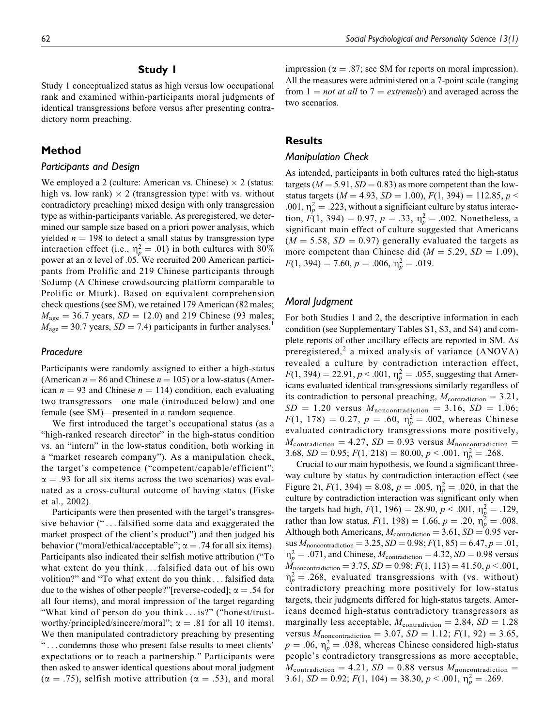# **Study 1**

Study 1 conceptualized status as high versus low occupational rank and examined within-participants moral judgments of identical transgressions before versus after presenting contradictory norm preaching.

## **Method**

#### *Participants and Design*

We employed a 2 (culture: American vs. Chinese)  $\times$  2 (status: high vs. low rank)  $\times$  2 (transgression type: with vs. without contradictory preaching) mixed design with only transgression type as within-participants variable. As preregistered, we determined our sample size based on a priori power analysis, which yielded  $n = 198$  to detect a small status by transgression type interaction effect (i.e.,  $\eta_p^2 = .01$ ) in both cultures with 80% power at an  $\alpha$  level of .05. We recruited 200 American participants from Prolific and 219 Chinese participants through SoJump (A Chinese crowdsourcing platform comparable to Prolific or Mturk). Based on equivalent comprehension check questions (see SM), we retained 179 American (82 males;  $M_{\text{age}} = 36.7$  years,  $SD = 12.0$ ) and 219 Chinese (93 males;  $M_{\text{age}} = 30.7$  years,  $SD = 7.4$ ) participants in further analyses.<sup>1</sup>

## *Procedure*

Participants were randomly assigned to either a high-status (American  $n = 86$  and Chinese  $n = 105$ ) or a low-status (American  $n = 93$  and Chinese  $n = 114$ ) condition, each evaluating two transgressors—one male (introduced below) and one female (see SM)—presented in a random sequence.

We first introduced the target's occupational status (as a "high-ranked research director" in the high-status condition vs. an "intern" in the low-status condition, both working in a "market research company"). As a manipulation check, the target's competence ("competent/capable/efficient";  $\alpha = .93$  for all six items across the two scenarios) was evaluated as a cross-cultural outcome of having status (Fiske et al., 2002).

Participants were then presented with the target's transgressive behavior ("... falsified some data and exaggerated the market prospect of the client's product") and then judged his behavior ("moral/ethical/acceptable";  $\alpha = .74$  for all six items). Participants also indicated their selfish motive attribution ("To what extent do you think ... falsified data out of his own volition?" and "To what extent do you think ... falsified data due to the wishes of other people?"[reverse-coded];  $\alpha = .54$  for all four items), and moral impression of the target regarding "What kind of person do you think ... is?" ("honest/trustworthy/principled/sincere/moral";  $\alpha = .81$  for all 10 items). We then manipulated contradictory preaching by presenting " ... condemns those who present false results to meet clients' expectations or to reach a partnership." Participants were then asked to answer identical questions about moral judgment  $(\alpha = .75)$ , selfish motive attribution ( $\alpha = .53$ ), and moral impression ( $\alpha = .87$ ; see SM for reports on moral impression). All the measures were administered on a 7-point scale (ranging from  $1 = not$  at all to  $7 = extremely$ ) and averaged across the two scenarios.

# **Results**

## *Manipulation Check*

As intended, participants in both cultures rated the high-status targets ( $M = 5.91$ ,  $SD = 0.83$ ) as more competent than the lowstatus targets ( $M = 4.93$ ,  $SD = 1.00$ ),  $F(1, 394) = 112.85$ ,  $p <$ .001,  $\eta_p^2 = .223$ , without a significiant culture by status interaction,  $F(1, 394) = 0.97$ ,  $p = .33$ ,  $\eta_p^2 = .002$ . Nonetheless, a significant main effect of culture suggested that Americans  $(M = 5.58, SD = 0.97)$  generally evaluated the targets as more competent than Chinese did ( $M = 5.29$ ,  $SD = 1.09$ ),  $F(1, 394) = 7.60, p = .006, \eta_p^2 = .019.$ 

## *Moral Judgment*

For both Studies 1 and 2, the descriptive information in each condition (see Supplementary Tables S1, S3, and S4) and complete reports of other ancillary effects are reported in SM. As preregistered,<sup>2</sup> a mixed analysis of variance (ANOVA) revealed a culture by contradiction interaction effect,  $F(1, 394) = 22.91, p < .001, \eta_p^2 = .055$ , suggesting that Americans evaluated identical transgressions similarly regardless of its contradiction to personal preaching,  $M_{\text{contradiction}} = 3.21$ ,  $SD = 1.20$  versus  $M_{noncontradiction} = 3.16$ ,  $SD = 1.06$ ;  $F(1, 178) = 0.27, p = .60, \eta_p^2 = .002$ , whereas Chinese evaluated contradictory transgressions more positively,  $M_{\text{contradiction}} = 4.27$ ,  $SD = 0.93$  versus  $M_{\text{noncontradiction}} =$ 3.68,  $SD = 0.95$ ;  $F(1, 218) = 80.00$ ,  $p < .001$ ,  $\eta_p^2 = .268$ .

Crucial to our main hypothesis, we found a significant threeway culture by status by contradiction interaction effect (see Figure 2),  $F(1, 394) = 8.08$ ,  $p = .005$ ,  $\eta_p^2 = .020$ , in that the culture by contradiction interaction was significant only when the targets had high,  $F(1, 196) = 28.90, p < .001, \eta_{\overline{g}}^2 = .129$ , rather than low status,  $F(1, 198) = 1.66$ ,  $p = .20$ ,  $\eta_p^2 = .008$ . Although both Americans,  $M_{\text{contradiction}} = 3.61$ ,  $SD = 0.95$  versus  $M_{noncontradiction} = 3.25$ ,  $SD = 0.98$ ;  $F(1, 85) = 6.47$ ,  $p = .01$ ,  $m_p^2 = .071$ , and Chinese,  $M_{\text{contradiction}} = 4.32$ ,  $SD = 0.98$  versus  $\dot{M}_{noncontradiction} = 3.75, SD = 0.98; F(1, 113) = 41.50, p < .001,$  $\eta_p^2 = 0.268$ , evaluated transgressions with (vs. without) contradictory preaching more positively for low-status targets, their judgments differed for high-status targets. Americans deemed high-status contradictory transgressors as marginally less acceptable,  $M_{\text{contradiction}} = 2.84$ ,  $SD = 1.28$ versus  $M_{\text{noncontradiction}} = 3.07$ ,  $SD = 1.12$ ;  $F(1, 92) = 3.65$ ,  $p = .06$ ,  $\eta_p^2 = .038$ , whereas Chinese considered high-status people's contradictory transgressions as more acceptable,  $M_{\rm contradiction} = 4.21, \, SD = 0.88$  versus  $M_{\rm noncontradiction} =$ 3.61,  $SD = 0.92$ ;  $F(1, 104) = 38.30, p < .001, \eta_p^2 = .269$ .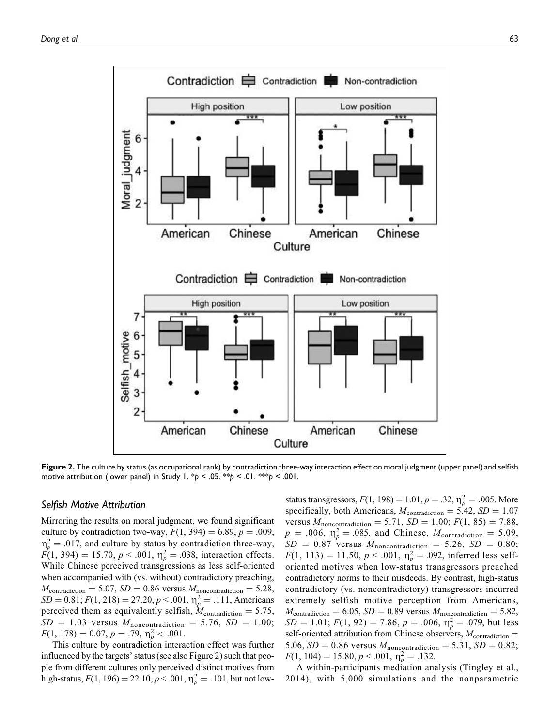

**Figure 2.** The culture by status (as occupational rank) by contradiction three-way interaction effect on moral judgment (upper panel) and selfish motive attribution (lower panel) in Study 1. \**p* < .05. \*\**p* < .01. \*\*\**p* < .001.

## *Selfish Motive Attribution*

Mirroring the results on moral judgment, we found significant culture by contradiction two-way,  $F(1, 394) = 6.89$ ,  $p = .009$ ,  $\eta_p^2 = .017$ , and culture by status by contradiction three-way,  $F(1, 394) = 15.70, p < .001, \eta_p^2 = .038$ , interaction effects. While Chinese perceived transgressions as less self-oriented when accompanied with (vs. without) contradictory preaching,  $M_{\text{contradiction}} = 5.07, SD = 0.86$  versus  $M_{\text{noncontradiction}} = 5.28$ ,  $SD = 0.81; F(1, 218) = 27.20, p < .001, \eta_p^2 = .111$ , Americans perceived them as equivalently selfish,  $M_{\text{contradiction}} = 5.75$ ,  $SD = 1.03$  versus  $M_{noncontradiction} = 5.76$ ,  $SD = 1.00$ ;  $F(1, 178) = 0.07, p = .79, \eta_p^2 < .001.$ 

This culture by contradiction interaction effect was further influenced by the targets' status (see also Figure 2) such that people from different cultures only perceived distinct motives from high-status,  $F(1, 196) = 22.10, p < .001, \eta_p^2 = .101$ , but not low-

status transgressors,  $F(1, 198) = 1.01$ ,  $p = .32$ ,  $\eta_p^2 = .005$ . More specifically, both Americans,  $M_{\text{contradiction}} = 5.42$ ,  $SD = 1.07$ versus  $M_{\text{noncontradiction}} = 5.71, SD = 1.00; F(1, 85) = 7.88,$  $p = .006$ ,  $\eta_p^2 = .085$ , and Chinese,  $M_{\text{contradiction}} = 5.09$ ,  $SD = 0.87$  versus  $M_{noncontradiction} = 5.26$ ,  $SD = 0.80$ ;  $F(1, 113) = 11.50, p < .001, \eta_p^2 = .092$ , inferred less selforiented motives when low-status transgressors preached contradictory norms to their misdeeds. By contrast, high-status contradictory (vs. noncontradictory) transgressors incurred extremely selfish motive perception from Americans,  $M_{\text{contradiction}} = 6.05, SD = 0.89$  versus  $M_{\text{noncontradiction}} = 5.82,$  $SD = 1.01$ ;  $F(1, 92) = 7.86$ ,  $p = .006$ ,  $\eta_p^2 = .079$ , but less self-oriented attribution from Chinese observers,  $M_{\text{contradiction}} =$ 5.06,  $SD = 0.86$  versus  $M_{noncontradiction} = 5.31$ ,  $SD = 0.82$ ;  $F(1, 104) = 15.80, p < .001, \eta_p^2 = .132.$ 

A within-participants mediation analysis (Tingley et al., 2014), with 5,000 simulations and the nonparametric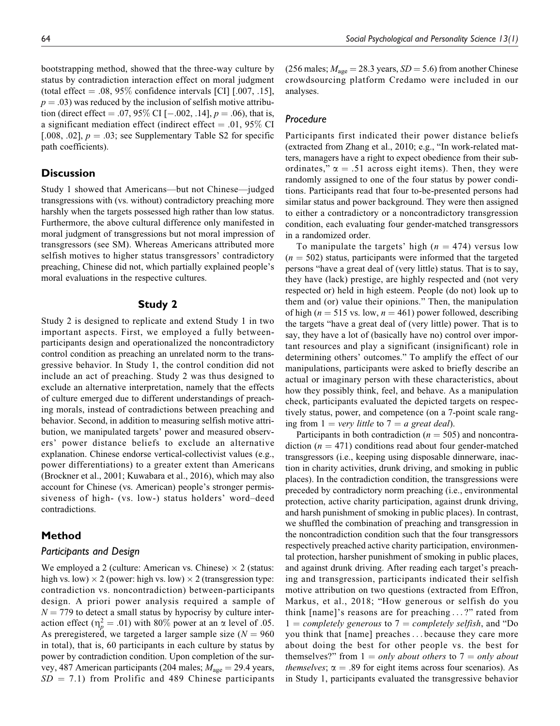bootstrapping method, showed that the three-way culture by status by contradiction interaction effect on moral judgment (total effect  $= .08, 95\%$  confidence intervals [CI] [.007, .15],  $p = .03$ ) was reduced by the inclusion of selfish motive attribution (direct effect = .07, 95\% CI [-.002, .14],  $p = .06$ ), that is, a significant mediation effect (indirect effect  $= .01, 95\%$  CI [.008, .02],  $p = .03$ ; see Supplementary Table S2 for specific path coefficients).

## **Discussion**

Study 1 showed that Americans—but not Chinese—judged transgressions with (vs. without) contradictory preaching more harshly when the targets possessed high rather than low status. Furthermore, the above cultural difference only manifested in moral judgment of transgressions but not moral impression of transgressors (see SM). Whereas Americans attributed more selfish motives to higher status transgressors' contradictory preaching, Chinese did not, which partially explained people's moral evaluations in the respective cultures.

## **Study 2**

Study 2 is designed to replicate and extend Study 1 in two important aspects. First, we employed a fully betweenparticipants design and operationalized the noncontradictory control condition as preaching an unrelated norm to the transgressive behavior. In Study 1, the control condition did not include an act of preaching. Study 2 was thus designed to exclude an alternative interpretation, namely that the effects of culture emerged due to different understandings of preaching morals, instead of contradictions between preaching and behavior. Second, in addition to measuring selfish motive attribution, we manipulated targets' power and measured observers' power distance beliefs to exclude an alternative explanation. Chinese endorse vertical-collectivist values (e.g., power differentiations) to a greater extent than Americans (Brockner et al., 2001; Kuwabara et al., 2016), which may also account for Chinese (vs. American) people's stronger permissiveness of high- (vs. low-) status holders' word–deed contradictions.

## **Method**

#### *Participants and Design*

We employed a 2 (culture: American vs. Chinese)  $\times$  2 (status: high vs. low)  $\times$  2 (power: high vs. low)  $\times$  2 (transgression type: contradiction vs. noncontradiction) between-participants design. A priori power analysis required a sample of  $N = 779$  to detect a small status by hypocrisy by culture interaction effect ( $\eta_p^2 = .01$ ) with 80% power at an  $\alpha$  level of .05. As preregistered, we targeted a larger sample size ( $N = 960$ ) in total), that is, 60 participants in each culture by status by power by contradiction condition. Upon completion of the survey, 487 American participants (204 males;  $M_{\text{age}} = 29.4$  years,  $SD = 7.1$ ) from Prolific and 489 Chinese participants

(256 males;  $M_{\text{age}} = 28.3$  years,  $SD = 5.6$ ) from another Chinese crowdsourcing platform Credamo were included in our analyses.

## *Procedure*

Participants first indicated their power distance beliefs (extracted from Zhang et al., 2010; e.g., "In work-related matters, managers have a right to expect obedience from their subordinates,"  $\alpha = .51$  across eight items). Then, they were randomly assigned to one of the four status by power conditions. Participants read that four to-be-presented persons had similar status and power background. They were then assigned to either a contradictory or a noncontradictory transgression condition, each evaluating four gender-matched transgressors in a randomized order.

To manipulate the targets' high  $(n = 474)$  versus low  $(n = 502)$  status, participants were informed that the targeted persons "have a great deal of (very little) status. That is to say, they have (lack) prestige, are highly respected and (not very respected or) held in high esteem. People (do not) look up to them and (or) value their opinions." Then, the manipulation of high ( $n = 515$  vs. low,  $n = 461$ ) power followed, describing the targets "have a great deal of (very little) power. That is to say, they have a lot of (basically have no) control over important resources and play a significant (insignificant) role in determining others' outcomes." To amplify the effect of our manipulations, participants were asked to briefly describe an actual or imaginary person with these characteristics, about how they possibly think, feel, and behave. As a manipulation check, participants evaluated the depicted targets on respectively status, power, and competence (on a 7-point scale ranging from  $1 = \text{very little to } 7 = a \text{ great deal}.$ 

Participants in both contradiction ( $n = 505$ ) and noncontradiction ( $n = 471$ ) conditions read about four gender-matched transgressors (i.e., keeping using disposable dinnerware, inaction in charity activities, drunk driving, and smoking in public places). In the contradiction condition, the transgressions were preceded by contradictory norm preaching (i.e., environmental protection, active charity participation, against drunk driving, and harsh punishment of smoking in public places). In contrast, we shuffled the combination of preaching and transgression in the noncontradiction condition such that the four transgressors respectively preached active charity participation, environmental protection, harsher punishment of smoking in public places, and against drunk driving. After reading each target's preaching and transgression, participants indicated their selfish motive attribution on two questions (extracted from Effron, Markus, et al., 2018; "How generous or selfish do you think [name]'s reasons are for preaching ... ?" rated from  $1 = completely$  generous to  $7 = completely$  selfish, and "Do you think that [name] preaches ... because they care more about doing the best for other people vs. the best for themselves?" from  $1 = only about others$  to  $7 = only about$ *themselves*;  $\alpha = .89$  for eight items across four scenarios). As in Study 1, participants evaluated the transgressive behavior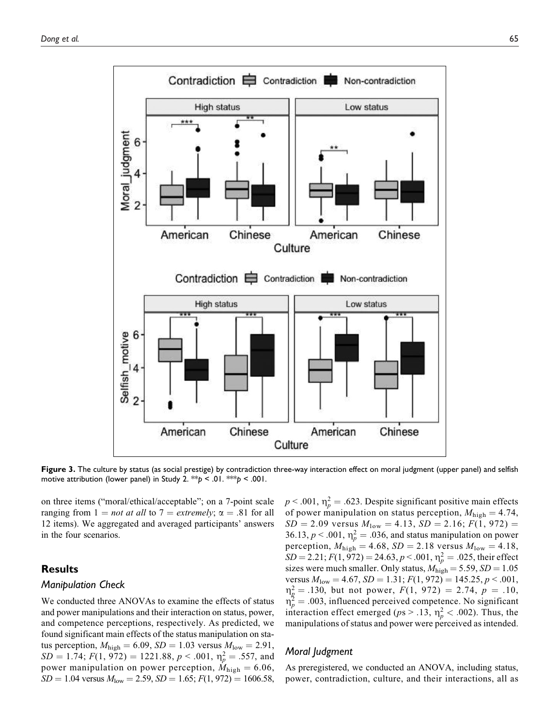

**Figure 3.** The culture by status (as social prestige) by contradiction three-way interaction effect on moral judgment (upper panel) and selfish motive attribution (lower panel) in Study 2. \*\**p* < .01. \*\*\**p* < .001.

on three items ("moral/ethical/acceptable"; on a 7-point scale ranging from  $1 = not$  at all to  $7 = extremely$ ;  $\alpha = .81$  for all 12 items). We aggregated and averaged participants' answers in the four scenarios.

# **Results**

#### *Manipulation Check*

We conducted three ANOVAs to examine the effects of status and power manipulations and their interaction on status, power, and competence perceptions, respectively. As predicted, we found significant main effects of the status manipulation on status perception,  $M_{\text{high}} = 6.09$ ,  $SD = 1.03$  versus  $M_{\text{low}} = 2.91$ ,  $SD = 1.74$ ;  $F(1, 972) = 1221.88$ ,  $p < .001$ ,  $\eta_p^2 = .557$ , and power manipulation on power perception,  $\dot{M}_{\text{high}} = 6.06$ ,  $SD = 1.04$  versus  $M_{\text{low}} = 2.59$ ,  $SD = 1.65$ ;  $F(1, 972) = 1606.58$ ,

 $p < .001$ ,  $\eta_p^2 = .623$ . Despite significant positive main effects of power manipulation on status perception,  $M_{\text{high}} = 4.74$ ,  $SD = 2.09$  versus  $M_{\text{low}} = 4.13$ ,  $SD = 2.16$ ;  $F(1, 972) =$ 36.13,  $p < .001$ ,  $\eta_p^2 = .036$ , and status manipulation on power perception,  $M_{\text{high}} = 4.68$ ,  $SD = 2.18$  versus  $M_{\text{low}} = 4.18$ ,  $SD = 2.21; F(1, 972) = 24.63, p < .001, \eta_p^2 = .025$ , their effect sizes were much smaller. Only status,  $M_{\text{high}} = 5.59$ ,  $SD = 1.05$ versus  $M_{\text{low}} = 4.67$ ,  $SD = 1.31$ ;  $F(1, 972) = 145.25$ ,  $p < .001$ ,  $\eta_{\rm g}^2 = .130$ , but not power,  $F(1, 972) = 2.74$ ,  $p = .10$ ,  $\eta_p^2 = .003$ , influenced perceived competence. No significant interaction effect emerged ( $ps > .13$ ,  $\eta_p^2 < .002$ ). Thus, the manipulations of status and power were perceived as intended.

## *Moral Judgment*

As preregistered, we conducted an ANOVA, including status, power, contradiction, culture, and their interactions, all as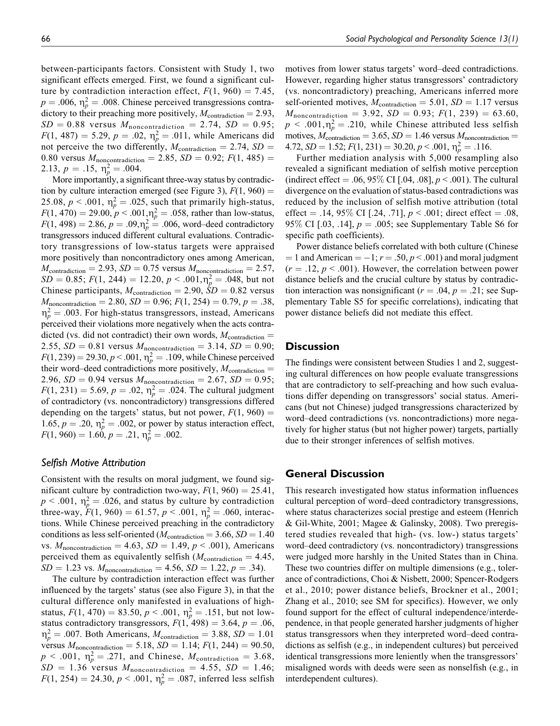between-participants factors. Consistent with Study 1, two significant effects emerged. First, we found a significant culture by contradiction interaction effect,  $F(1, 960) = 7.45$ ,  $p = .006$ ,  $\eta_p^2 = .008$ . Chinese perceived transgressions contradictory to their preaching more positively,  $M_{\text{contradiction}} = 2.93$ ,  $SD = 0.88$  versus  $M_{noncontradiction} = 2.74$ ,  $SD = 0.95$ ;  $F(1, 487) = 5.29, p = .02, \eta_p^2 = .011$ , while Americans did not perceive the two differently,  $M_{\text{contradiction}} = 2.74$ ,  $SD =$ 0.80 versus  $M_{noncontradiction} = 2.85$ ,  $SD = 0.92$ ;  $F(1, 485) =$ 2.13,  $p = .15$ ,  $\eta_p^2 = .004$ .

More importantly, a significant three-way status by contradiction by culture interaction emerged (see Figure 3),  $F(1, 960) =$ 25.08,  $p < .001$ ,  $\eta_p^2 = .025$ , such that primarily high-status,  $F(1, 470) = 29.00, p < .001, \eta_p^2 = .058$ , rather than low-status,  $F(1, 498) = 2.86, p = .09, \eta_p^2 = .006$ , word–deed contradictory transgressors induced different cultural evaluations. Contradictory transgressions of low-status targets were appraised more positively than noncontradictory ones among American,  $M_{\text{contradiction}} = 2.93, SD = 0.75 \text{ versus } M_{\text{noncontradiction}} = 2.57,$  $SD = 0.85; F(1, 244) = 12.20, p < .001, \eta_p^2 = .048$ , but not Chinese participants,  $M_{\text{contradiction}} = 2.90$ ,  $\dot{S}D = 0.82$  versus  $M_{noncontradiction} = 2.80, SD = 0.96; F(1, 254) = 0.79, p = .38,$  $\eta_p^2 = .003$ . For high-status transgressors, instead, Americans perceived their violations more negatively when the acts contradicted (vs. did not contradict) their own words,  $M_{\text{contradiction}} =$ 2.55,  $SD = 0.81$  versus  $M_{noncontradiction} = 3.14$ ,  $SD = 0.90$ ;  $F(1, 239) = 29.30, p < .001, \eta_p^2 = .109$ , while Chinese perceived their word–deed contradictions more positively,  $M_{\text{contradiction}} =$ 2.96,  $SD = 0.94$  versus  $M_{noncontradiction} = 2.67$ ,  $SD = 0.95$ ;  $F(1, 231) = 5.69, p = .02, \eta_p^2 = .024.$  The cultural judgment of contradictory (vs. noncontradictory) transgressions differed depending on the targets' status, but not power,  $F(1, 960) =$ 1.65,  $p = .20$ ,  $\eta_p^2 = .002$ , or power by status interaction effect,  $F(1, 960) = 1.60, p = .21, \eta_p^2 = .002.$ 

#### *Selfish Motive Attribution*

Consistent with the results on moral judgment, we found significant culture by contradiction two-way,  $F(1, 960) = 25.41$ ,  $p < .001$ ,  $\eta_p^2 = .026$ , and status by culture by contradiction three-way,  $F(1, 960) = 61.57$ ,  $p < .001$ ,  $\eta_p^2 = .060$ , interactions. While Chinese perceived preaching in the contradictory conditions as less self-oriented ( $M_{\text{contradiction}} = 3.66$ ,  $SD = 1.40$ ) vs.  $M_{noncontradiction} = 4.63$ ,  $SD = 1.49$ ,  $p < .001$ ), Americans perceived them as equivalently selfish ( $M_{\text{contradiction}} = 4.45$ ,  $SD = 1.23$  vs.  $M_{noncontradiction} = 4.56$ ,  $SD = 1.22$ ,  $p = .34$ ).

The culture by contradiction interaction effect was further influenced by the targets' status (see also Figure 3), in that the cultural difference only manifested in evaluations of highstatus,  $F(1, 470) = 83.50, p < .001, \eta_p^2 = .151$ , but not lowstatus contradictory transgressors,  $F(1, 498) = 3.64$ ,  $p = .06$ ,  $n_p^2 = .007$ . Both Americans,  $M_{\text{contradiction}} = 3.88$ ,  $SD = 1.01$ versus  $M_{\text{noncontraction}} = 5.18$ ,  $SD = 1.14$ ;  $F(1, 244) = 90.50$ ,  $p < .001$ ,  $\eta_p^2 = .271$ , and Chinese,  $M_{\text{contradiction}} = 3.68$ ,  $SD = 1.36$  versus  $M_{noncontradiction} = 4.55$ ,  $SD = 1.46$ ;  $F(1, 254) = 24.30, p < .001, \eta_p^2 = .087$ , inferred less selfish

motives from lower status targets' word–deed contradictions. However, regarding higher status transgressors' contradictory (vs. noncontradictory) preaching, Americans inferred more self-oriented motives,  $M_{\text{contradiction}} = 5.01$ ,  $SD = 1.17$  versus  $M_{\text{noncontradiction}} = 3.92, SD = 0.93; F(1, 239) = 63.60,$  $p < .001, \eta_p^2 = .210$ , while Chinese attributed less selfish motives,  $M_{\text{contradiction}} = 3.65$ ,  $SD = 1.46$  versus  $M_{\text{noncontradiction}} =$ 4.72,  $SD = 1.52$ ;  $F(1, 231) = 30.20, p < .001, \eta_p^2 = .116$ .

Further mediation analysis with 5,000 resampling also revealed a significant mediation of selfish motive perception (indirect effect = .06, 95% CI [.04, .08],  $p < .001$ ). The cultural divergence on the evaluation of status-based contradictions was reduced by the inclusion of selfish motive attribution (total effect = .14, 95\% CI [.24, .71],  $p < .001$ ; direct effect = .08, 95% CI [.03, .14],  $p = .005$ ; see Supplementary Table S6 for specific path coefficients).

Power distance beliefs correlated with both culture (Chinese  $= 1$  and American  $= -1$ ;  $r = .50, p < .001$ ) and moral judgment  $(r = .12, p < .001)$ . However, the correlation between power distance beliefs and the crucial culture by status by contradiction interaction was nonsignificant ( $r = .04$ ,  $p = .21$ ; see Supplementary Table S5 for specific correlations), indicating that power distance beliefs did not mediate this effect.

## **Discussion**

The findings were consistent between Studies 1 and 2, suggesting cultural differences on how people evaluate transgressions that are contradictory to self-preaching and how such evaluations differ depending on transgressors' social status. Americans (but not Chinese) judged transgressions characterized by word–deed contradictions (vs. noncontradictions) more negatively for higher status (but not higher power) targets, partially due to their stronger inferences of selfish motives.

# **General Discussion**

This research investigated how status information influences cultural perception of word–deed contradictory transgressions, where status characterizes social prestige and esteem (Henrich & Gil-White, 2001; Magee & Galinsky, 2008). Two preregistered studies revealed that high- (vs. low-) status targets' word–deed contradictory (vs. noncontradictory) transgressions were judged more harshly in the United States than in China. These two countries differ on multiple dimensions (e.g., tolerance of contradictions, Choi & Nisbett, 2000; Spencer-Rodgers et al., 2010; power distance beliefs, Brockner et al., 2001; Zhang et al., 2010; see SM for specifics). However, we only found support for the effect of cultural independence/interdependence, in that people generated harsher judgments of higher status transgressors when they interpreted word–deed contradictions as selfish (e.g., in independent cultures) but perceived identical transgressions more leniently when the transgressors' misaligned words with deeds were seen as nonselfish (e.g., in interdependent cultures).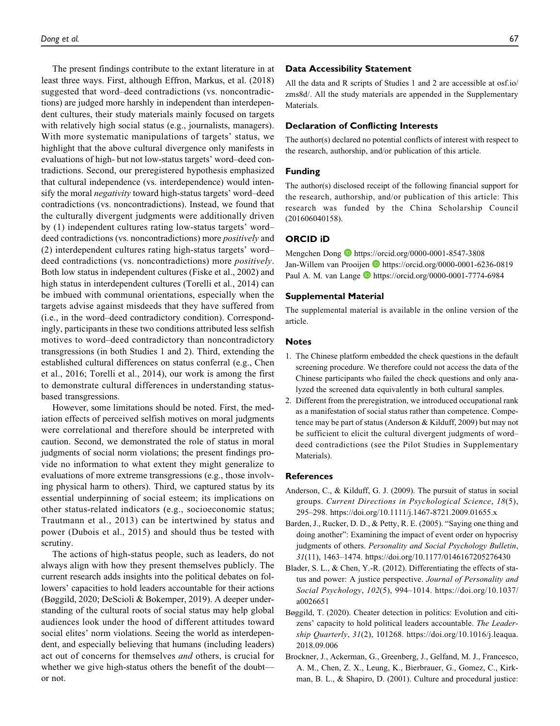The present findings contribute to the extant literature in at least three ways. First, although Effron, Markus, et al. (2018) suggested that word–deed contradictions (vs. noncontradictions) are judged more harshly in independent than interdependent cultures, their study materials mainly focused on targets with relatively high social status (e.g., journalists, managers). With more systematic manipulations of targets' status, we highlight that the above cultural divergence only manifests in evaluations of high- but not low-status targets' word–deed contradictions. Second, our preregistered hypothesis emphasized that cultural independence (vs. interdependence) would intensify the moral *negativity* toward high-status targets' word–deed contradictions (vs. noncontradictions). Instead, we found that the culturally divergent judgments were additionally driven by (1) independent cultures rating low-status targets' word– deed contradictions (vs. noncontradictions) more *positively* and (2) interdependent cultures rating high-status targets' word– deed contradictions (vs. noncontradictions) more *positively*. Both low status in independent cultures (Fiske et al., 2002) and high status in interdependent cultures (Torelli et al., 2014) can be imbued with communal orientations, especially when the targets advise against misdeeds that they have suffered from (i.e., in the word–deed contradictory condition). Correspondingly, participants in these two conditions attributed less selfish motives to word–deed contradictory than noncontradictory transgressions (in both Studies 1 and 2). Third, extending the established cultural differences on status conferral (e.g., Chen et al., 2016; Torelli et al., 2014), our work is among the first to demonstrate cultural differences in understanding statusbased transgressions.

However, some limitations should be noted. First, the mediation effects of perceived selfish motives on moral judgments were correlational and therefore should be interpreted with caution. Second, we demonstrated the role of status in moral judgments of social norm violations; the present findings provide no information to what extent they might generalize to evaluations of more extreme transgressions (e.g., those involving physical harm to others). Third, we captured status by its essential underpinning of social esteem; its implications on other status-related indicators (e.g., socioeconomic status; Trautmann et al., 2013) can be intertwined by status and power (Dubois et al., 2015) and should thus be tested with scrutiny.

The actions of high-status people, such as leaders, do not always align with how they present themselves publicly. The current research adds insights into the political debates on followers' capacities to hold leaders accountable for their actions (Bøggild, 2020; DeScioli & Bokemper, 2019). A deeper understanding of the cultural roots of social status may help global audiences look under the hood of different attitudes toward social elites' norm violations. Seeing the world as interdependent, and especially believing that humans (including leaders) act out of concerns for themselves and others, is crucial for whether we give high-status others the benefit of the doubtor not.

#### **Data Accessibility Statement**

All the data and R scripts of Studies 1 and 2 are accessible at osf.io/ zms8d/. All the study materials are appended in the Supplementary Materials.

#### **Declaration of Conflicting Interests**

The author(s) declared no potential conflicts of interest with respect to the research, authorship, and/or publication of this article.

#### **Funding**

The author(s) disclosed receipt of the following financial support for the research, authorship, and/or publication of this article: This research was funded by the China Scholarship Council (201606040158).

## **ORCID iD**

Mengchen Dong **b** https://orcid.org/0000-0001-8547-3808 Jan-Willem van Prooijen D https://orcid.org/0000-0001-6236-0819 Paul A. M. van Lange D https://orcid.org/0000-0001-7774-6984

#### **Supplemental Material**

The supplemental material is available in the online version of the article.

#### **Notes**

- 1. The Chinese platform embedded the check questions in the default screening procedure. We therefore could not access the data of the Chinese participants who failed the check questions and only analyzed the screened data equivalently in both cultural samples.
- 2. Different from the preregistration, we introduced occupational rank as a manifestation of social status rather than competence. Competence may be part of status (Anderson & Kilduff, 2009) but may not be sufficient to elicit the cultural divergent judgments of word– deed contradictions (see the Pilot Studies in Supplementary Materials).

#### **References**

- Anderson, C., & Kilduff, G. J. (2009). The pursuit of status in social groups. Current Directions in Psychological Science, 18(5), 295–298. https://doi.org/10.1111/j.1467-8721.2009.01655.x
- Barden, J., Rucker, D. D., & Petty, R. E. (2005). "Saying one thing and doing another": Examining the impact of event order on hypocrisy judgments of others. Personality and Social Psychology Bulletin, 31(11), 1463–1474. https://doi.org/10.1177/0146167205276430
- Blader, S. L., & Chen, Y.-R. (2012). Differentiating the effects of status and power: A justice perspective. Journal of Personality and Social Psychology, 102(5), 994–1014. https://doi.org/10.1037/ a0026651
- Bøggild, T. (2020). Cheater detection in politics: Evolution and citizens' capacity to hold political leaders accountable. The Leadership Quarterly, 31(2), 101268. https://doi.org/10.1016/j.leaqua. 2018.09.006
- Brockner, J., Ackerman, G., Greenberg, J., Gelfand, M. J., Francesco, A. M., Chen, Z. X., Leung, K., Bierbrauer, G., Gomez, C., Kirkman, B. L., & Shapiro, D. (2001). Culture and procedural justice: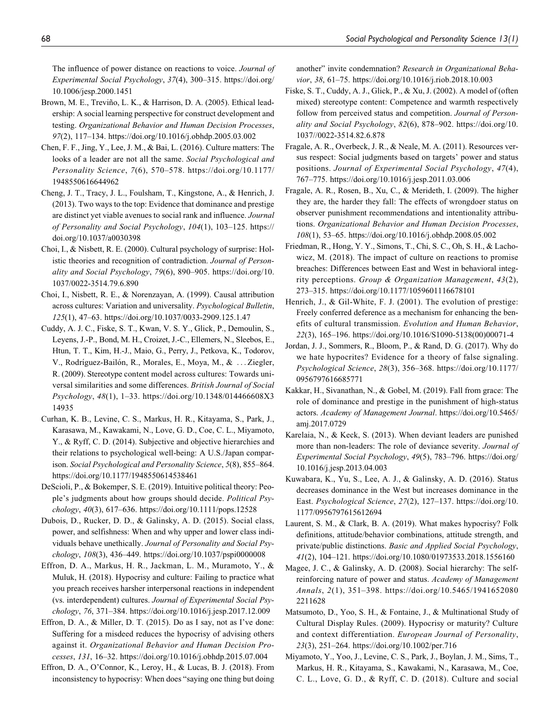The influence of power distance on reactions to voice. Journal of Experimental Social Psychology, 37(4), 300–315. https://doi.org/ 10.1006/jesp.2000.1451

- Brown, M. E., Treviño, L. K., & Harrison, D. A. (2005). Ethical leadership: A social learning perspective for construct development and testing. Organizational Behavior and Human Decision Processes, 97(2), 117–134. https://doi.org/10.1016/j.obhdp.2005.03.002
- Chen, F. F., Jing, Y., Lee, J. M., & Bai, L. (2016). Culture matters: The looks of a leader are not all the same. Social Psychological and Personality Science, 7(6), 570–578. https://doi.org/10.1177/ 1948550616644962
- Cheng, J. T., Tracy, J. L., Foulsham, T., Kingstone, A., & Henrich, J. (2013). Two ways to the top: Evidence that dominance and prestige are distinct yet viable avenues to social rank and influence. Journal of Personality and Social Psychology, 104(1), 103–125. https:// doi.org/10.1037/a0030398
- Choi, I., & Nisbett, R. E. (2000). Cultural psychology of surprise: Holistic theories and recognition of contradiction. Journal of Personality and Social Psychology, 79(6), 890–905. https://doi.org/10. 1037/0022-3514.79.6.890
- Choi, I., Nisbett, R. E., & Norenzayan, A. (1999). Causal attribution across cultures: Variation and universality. Psychological Bulletin, 125(1), 47–63. https://doi.org/10.1037/0033-2909.125.1.47
- Cuddy, A. J. C., Fiske, S. T., Kwan, V. S. Y., Glick, P., Demoulin, S., Leyens, J.-P., Bond, M. H., Croizet, J.-C., Ellemers, N., Sleebos, E., Htun, T. T., Kim, H.-J., Maio, G., Perry, J., Petkova, K., Todorov, V., Rodríguez-Bailón, R., Morales, E., Moya, M., & ... Ziegler, R. (2009). Stereotype content model across cultures: Towards universal similarities and some differences. British Journal of Social Psychology, 48(1), 1–33. https://doi.org/10.1348/014466608X3 14935
- Curhan, K. B., Levine, C. S., Markus, H. R., Kitayama, S., Park, J., Karasawa, M., Kawakami, N., Love, G. D., Coe, C. L., Miyamoto, Y., & Ryff, C. D. (2014). Subjective and objective hierarchies and their relations to psychological well-being: A U.S./Japan comparison. Social Psychological and Personality Science, 5(8), 855–864. https://doi.org/10.1177/1948550614538461
- DeScioli, P., & Bokemper, S. E. (2019). Intuitive political theory: People's judgments about how groups should decide. Political Psychology, 40(3), 617–636. https://doi.org/10.1111/pops.12528
- Dubois, D., Rucker, D. D., & Galinsky, A. D. (2015). Social class, power, and selfishness: When and why upper and lower class individuals behave unethically. Journal of Personality and Social Psychology, 108(3), 436–449. https://doi.org/10.1037/pspi0000008
- Effron, D. A., Markus, H. R., Jackman, L. M., Muramoto, Y., & Muluk, H. (2018). Hypocrisy and culture: Failing to practice what you preach receives harsher interpersonal reactions in independent (vs. interdependent) cultures. Journal of Experimental Social Psychology, 76, 371–384. https://doi.org/10.1016/j.jesp.2017.12.009
- Effron, D. A., & Miller, D. T. (2015). Do as I say, not as I've done: Suffering for a misdeed reduces the hypocrisy of advising others against it. Organizational Behavior and Human Decision Processes, 131, 16–32. https://doi.org/10.1016/j.obhdp.2015.07.004
- Effron, D. A., O'Connor, K., Leroy, H., & Lucas, B. J. (2018). From inconsistency to hypocrisy: When does "saying one thing but doing

another" invite condemnation? Research in Organizational Behavior, 38, 61–75. https://doi.org/10.1016/j.riob.2018.10.003

- Fiske, S. T., Cuddy, A. J., Glick, P., & Xu, J. (2002). A model of (often mixed) stereotype content: Competence and warmth respectively follow from perceived status and competition. Journal of Personality and Social Psychology, 82(6), 878–902. https://doi.org/10. 1037//0022-3514.82.6.878
- Fragale, A. R., Overbeck, J. R., & Neale, M. A. (2011). Resources versus respect: Social judgments based on targets' power and status positions. Journal of Experimental Social Psychology, 47(4), 767–775. https://doi.org/10.1016/j.jesp.2011.03.006
- Fragale, A. R., Rosen, B., Xu, C., & Merideth, I. (2009). The higher they are, the harder they fall: The effects of wrongdoer status on observer punishment recommendations and intentionality attributions. Organizational Behavior and Human Decision Processes, 108(1), 53–65. https://doi.org/10.1016/j.obhdp.2008.05.002
- Friedman, R., Hong, Y. Y., Simons, T., Chi, S. C., Oh, S. H., & Lachowicz, M. (2018). The impact of culture on reactions to promise breaches: Differences between East and West in behavioral integrity perceptions. Group & Organization Management, 43(2), 273–315. https://doi.org/10.1177/1059601116678101
- Henrich, J., & Gil-White, F. J. (2001). The evolution of prestige: Freely conferred deference as a mechanism for enhancing the benefits of cultural transmission. Evolution and Human Behavior, 22(3), 165–196. https://doi.org/10.1016/S1090-5138(00)00071-4
- Jordan, J. J., Sommers, R., Bloom, P., & Rand, D. G. (2017). Why do we hate hypocrites? Evidence for a theory of false signaling. Psychological Science, 28(3), 356–368. https://doi.org/10.1177/ 0956797616685771
- Kakkar, H., Sivanathan, N., & Gobel, M. (2019). Fall from grace: The role of dominance and prestige in the punishment of high-status actors. Academy of Management Journal. https://doi.org/10.5465/ amj.2017.0729
- Karelaia, N., & Keck, S. (2013). When deviant leaders are punished more than non-leaders: The role of deviance severity. Journal of Experimental Social Psychology, 49(5), 783–796. https://doi.org/ 10.1016/j.jesp.2013.04.003
- Kuwabara, K., Yu, S., Lee, A. J., & Galinsky, A. D. (2016). Status decreases dominance in the West but increases dominance in the East. Psychological Science, 27(2), 127–137. https://doi.org/10. 1177/0956797615612694
- Laurent, S. M., & Clark, B. A. (2019). What makes hypocrisy? Folk definitions, attitude/behavior combinations, attitude strength, and private/public distinctions. Basic and Applied Social Psychology, 41(2), 104–121. https://doi.org/10.1080/01973533.2018.1556160
- Magee, J. C., & Galinsky, A. D. (2008). Social hierarchy: The selfreinforcing nature of power and status. Academy of Management Annals, 2(1), 351–398. https://doi.org/10.5465/1941652080 2211628
- Matsumoto, D., Yoo, S. H., & Fontaine, J., & Multinational Study of Cultural Display Rules. (2009). Hypocrisy or maturity? Culture and context differentiation. European Journal of Personality, 23(3), 251–264. https://doi.org/10.1002/per.716
- Miyamoto, Y., Yoo, J., Levine, C. S., Park, J., Boylan, J. M., Sims, T., Markus, H. R., Kitayama, S., Kawakami, N., Karasawa, M., Coe, C. L., Love, G. D., & Ryff, C. D. (2018). Culture and social